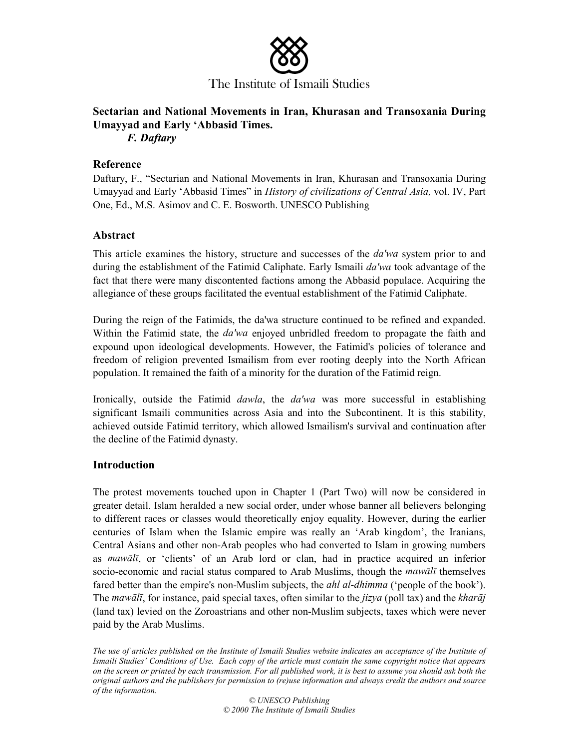

# **Sectarian and National Movements in Iran, Khurasan and Transoxania During Umayyad and Early 'Abbasid Times.**

*F. Daftary*

## **Reference**

Daftary, F., "Sectarian and National Movements in Iran, Khurasan and Transoxania During Umayyad and Early 'Abbasid Times" in *History of civilizations of Central Asia,* vol. IV, Part One, Ed., M.S. Asimov and C. E. Bosworth. UNESCO Publishing

## **Abstract**

This article examines the history, structure and successes of the *da'wa* system prior to and during the establishment of the Fatimid Caliphate. Early Ismaili *da'wa* took advantage of the fact that there were many discontented factions among the Abbasid populace. Acquiring the allegiance of these groups facilitated the eventual establishment of the Fatimid Caliphate.

During the reign of the Fatimids, the da'wa structure continued to be refined and expanded. Within the Fatimid state, the *da'wa* enjoyed unbridled freedom to propagate the faith and expound upon ideological developments. However, the Fatimid's policies of tolerance and freedom of religion prevented Ismailism from ever rooting deeply into the North African population. It remained the faith of a minority for the duration of the Fatimid reign.

Ironically, outside the Fatimid *dawla*, the *da'wa* was more successful in establishing significant Ismaili communities across Asia and into the Subcontinent. It is this stability, achieved outside Fatimid territory, which allowed Ismailism's survival and continuation after the decline of the Fatimid dynasty.

# **Introduction**

The protest movements touched upon in Chapter 1 (Part Two) will now be considered in greater detail. Islam heralded a new social order, under whose banner all believers belonging to different races or classes would theoretically enjoy equality. However, during the earlier centuries of Islam when the Islamic empire was really an 'Arab kingdom', the Iranians, Central Asians and other non-Arab peoples who had converted to Islam in growing numbers as *mawalt*, or 'clients' of an Arab lord or clan, had in practice acquired an inferior socio-economic and racial status compared to Arab Muslims, though the *mawali* themselves fared better than the empire's non-Muslim subjects, the *ahl al-dhimma* ('people of the book'). The *mawali*, for instance, paid special taxes, often similar to the *jizya* (poll tax) and the *kharaj* (land tax) levied on the Zoroastrians and other non-Muslim subjects, taxes which were never paid by the Arab Muslims.

*The use of articles published on the Institute of Ismaili Studies website indicates an acceptance of the Institute of Ismaili Studies' Conditions of Use. Each copy of the article must contain the same copyright notice that appears on the screen or printed by each transmission. For all published work, it is best to assume you should ask both the original authors and the publishers for permission to (re)use information and always credit the authors and source of the information.* 

*© UNESCO Publishing © 2000 The Institute of Ismaili Studies*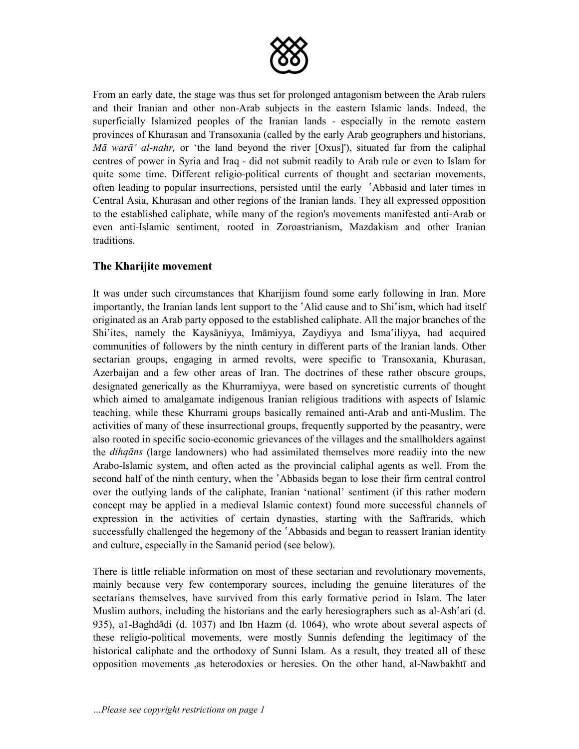

From an early date, the stage was thus set for prolonged antagonism between the Arab rulers and their Iranian and other non-Arab subjects in the eastern Islamic lands. Indeed, the superficially Islamized peoples of the Iranian lands - especially in the remote eastern provinces of Khurasan and Transoxania (called by the early Arab geographers and historians, *Ma wara' al-nahr*, or 'the land beyond the river [Oxus]'), situated far from the caliphal centres of power in Syria and Iraq - did not submit readily to Arab rule or even to Islam for quite some time. Different religio-political currents of thought and sectarian movements, often leading to popular insurrections, persisted until the early 'Abbasid and later times in Central Asia, Khurasan and other regions of the Iranian lands. They all expressed opposition to the established caliphate, while many of the region's movements manifested anti-Arab or even anti-Islamic sentiment, rooted in Zoroastrianism, Mazdakism and other Iranian traditions.

## **The Kharijite movement**

It was under such circumstances that Kharijism found some early following in Iran. More importantly, the Iranian lands lent support to the 'Alid cause and to Shi'ism, which had itself originated as an Arab party opposed to the established caliphate. All the major branches of the Shi'ites, namely the Kaysaniyya, Imamiyya, Zaydiyya and Isma'iliyya, had acquired communities of followers by the ninth century in different parts of the Iranian lands. Other sectarian groups, engaging in armed revolts, were specific to Transoxania, Khurasan, Azerbaijan and a few other areas of Iran. The doctrines of these rather obscure groups, designated generically as the Khurramiyya, were based on syncretistic currents of thought which aimed to amalgamate indigenous Iranian religious traditions with aspects of Islamic teaching, while these Khurrami groups basically remained anti-Arab and anti-Muslim. The activities of many of these insurrectional groups, frequently supported by the peasantry, were also rooted in specific socio-economic grievances of the villages and the smallholders against the *dihqns* (large landowners) who had assimilated themselves more readiiy into the new Arabo-Islamic system, and often acted as the provincial caliphal agents as well. From the second half of the ninth century, when the 'Abbasids began to lose their firm central control over the outlying lands of the caliphate, Iranian 'national' sentiment (if this rather modern concept may be applied in a medieval Islamic context) found more successful channels of expression in the activities of certain dynasties, starting with the Saffrarids, which successfully challenged the hegemony of the 'Abbasids and began to reassert Iranian identity and culture, especially in the Samanid period (see below).

There is little reliable information on most of these sectarian and revolutionary movements, mainly because very few contemporary sources, including the genuine literatures of the sectarians themselves, have survived from this early formative period in Islam. The later Muslim authors, including the historians and the early heresiographers such as al-Ash<sup>s</sup>ari (d. 935), a1-Baghdādi (d. 1037) and Ibn Hazm (d. 1064), who wrote about several aspects of these religio-political movements, were mostly Sunnis defending the legitimacy of the historical caliphate and the orthodoxy of Sunni Islam. As a result, they treated all of these opposition movements ,as heterodoxies or heresies. On the other hand, al-Nawbakhtū and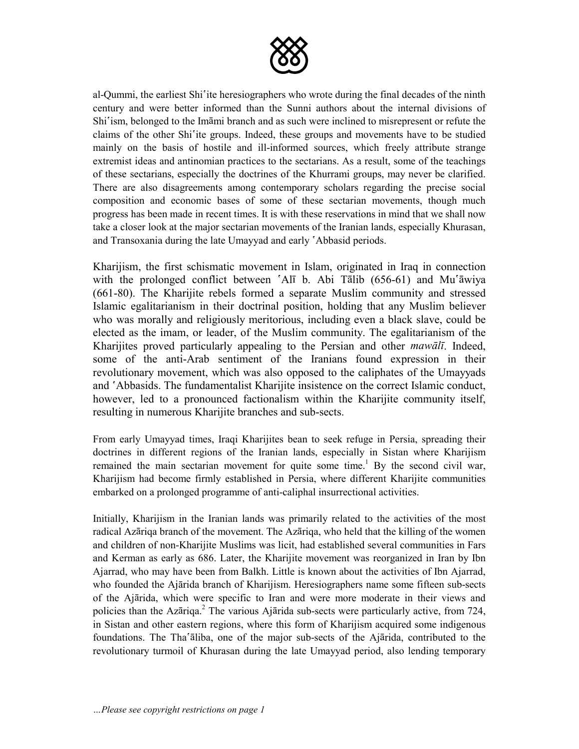

al-Qummi, the earliest Shi<sup>s</sup>ite heresiographers who wrote during the final decades of the ninth century and were better informed than the Sunni authors about the internal divisions of Shi<sup>s</sup>ism, belonged to the Imami branch and as such were inclined to misrepresent or refute the claims of the other Shi<sup>s</sup>ite groups. Indeed, these groups and movements have to be studied mainly on the basis of hostile and ill-informed sources, which freely attribute strange extremist ideas and antinomian practices to the sectarians. As a result, some of the teachings of these sectarians, especially the doctrines of the Khurrami groups, may never be clarified. There are also disagreements among contemporary scholars regarding the precise social composition and economic bases of some of these sectarian movements, though much progress has been made in recent times. It is with these reservations in mind that we shall now take a closer look at the major sectarian movements of the Iranian lands, especially Khurasan, and Transoxania during the late Umayyad and early 'Abbasid periods.

Kharijism, the first schismatic movement in Islam, originated in Iraq in connection with the prolonged conflict between 'Alī b. Abi Tālib (656-61) and Mu'āwiya (661-80). The Kharijite rebels formed a separate Muslim community and stressed Islamic egalitarianism in their doctrinal position, holding that any Muslim believer who was morally and religiously meritorious, including even a black slave, could be elected as the imam, or leader, of the Muslim community. The egalitarianism of the Kharijites proved particularly appealing to the Persian and other *mawali*. Indeed, some of the anti-Arab sentiment of the Iranians found expression in their revolutionary movement, which was also opposed to the caliphates of the Umayyads and âAbbasids. The fundamentalist Kharijite insistence on the correct Islamic conduct, however, led to a pronounced factionalism within the Kharijite community itself, resulting in numerous Kharijite branches and sub-sects.

From early Umayyad times, Iraqi Kharijites bean to seek refuge in Persia, spreading their doctrines in different regions of the Iranian lands, especially in Sistan where Kharijism remained the main sectarian movement for quite some time.<sup>1</sup> By the second civil war, Kharijism had become firmly established in Persia, where different Kharijite communities embarked on a prolonged programme of anti-caliphal insurrectional activities.

Initially, Kharijism in the Iranian lands was primarily related to the activities of the most radical Azariga branch of the movement. The Azariga, who held that the killing of the women and children of non-Kharijite Muslims was licit, had established several communities in Fars and Kerman as early as 686. Later, the Kharijite movement was reorganized in Iran by Ibn Ajarrad, who may have been from Balkh. Little is known about the activities of Ibn Ajarrad, who founded the Ajārida branch of Kharijism. Heresiographers name some fifteen sub-sects of the Ajrida, which were specific to Iran and were more moderate in their views and policies than the Azāriqa.<sup>2</sup> The various Ajārida sub-sects were particularly active, from 724, in Sistan and other eastern regions, where this form of Kharijism acquired some indigenous foundations. The Tha'aliba, one of the major sub-sects of the Ajarida, contributed to the revolutionary turmoil of Khurasan during the late Umayyad period, also lending temporary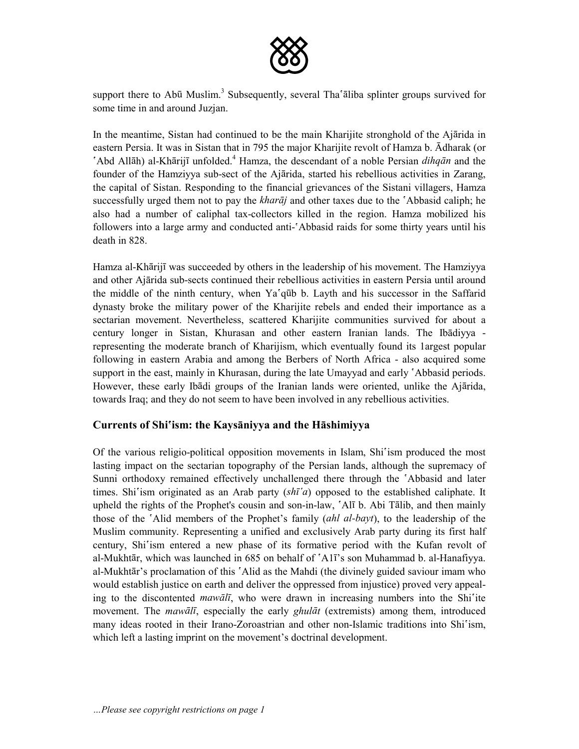

support there to Abū Muslim.<sup>3</sup> Subsequently, several Tha'āliba splinter groups survived for some time in and around Juzjan.

In the meantime, Sistan had continued to be the main Kharijite stronghold of the Ajārida in eastern Persia. It was in Sistan that in 795 the major Kharijite revolt of Hamza b.  $\overline{A}$ dharak (or 'Abd Allāh) al-Khārijī unfolded.<sup>4</sup> Hamza, the descendant of a noble Persian *dihqān* and the founder of the Hamziyya sub-sect of the Ajarida, started his rebellious activities in Zarang, the capital of Sistan. Responding to the financial grievances of the Sistani villagers, Hamza successfully urged them not to pay the *kharaj* and other taxes due to the *Abbasid caliph*; he also had a number of caliphal tax-collectors killed in the region. Hamza mobilized his followers into a large army and conducted anti- $\Delta$ bbasid raids for some thirty years until his death in 828.

Hamza al-Khārijī was succeeded by others in the leadership of his movement. The Hamziyya and other Ajārida sub-sects continued their rebellious activities in eastern Persia until around the middle of the ninth century, when Ya<sup>s</sup>qūb b. Layth and his successor in the Saffarid dynasty broke the military power of the Kharijite rebels and ended their importance as a sectarian movement. Nevertheless, scattered Kharijite communities survived for about a century longer in Sistan, Khurasan and other eastern Iranian lands. The Ibadiyya representing the moderate branch of Kharijism, which eventually found its 1argest popular following in eastern Arabia and among the Berbers of North Africa - also acquired some support in the east, mainly in Khurasan, during the late Umayyad and early 'Abbasid periods. However, these early Ibadi groups of the Iranian lands were oriented, unlike the Ajarida, towards Iraq; and they do not seem to have been involved in any rebellious activities.

#### **Currents of Shiâism: the Kaysniyya and the Hshimiyya**

Of the various religio-political opposition movements in Islam, Shi'ism produced the most lasting impact on the sectarian topography of the Persian lands, although the supremacy of Sunni orthodoxy remained effectively unchallenged there through the 'Abbasid and later times. Shi<sup>s</sup>ism originated as an Arab party  $(sh\bar{a}a)$  opposed to the established caliphate. It upheld the rights of the Prophet's cousin and son-in-law,  $\Delta \Pi$  b. Abi Talib, and then mainly those of the âAlid members of the Prophet's family (*ahl al-bayt*), to the leadership of the Muslim community. Representing a unified and exclusively Arab party during its first half century, Shi'ism entered a new phase of its formative period with the Kufan revolt of al-Mukhtār, which was launched in 685 on behalf of  $\Delta$ 11<sup> $\gamma$ </sup>s son Muhammad b. al-Hanafiyya. al-Mukhtār's proclamation of this 'Alid as the Mahdi (the divinely guided saviour imam who would establish justice on earth and deliver the oppressed from injustice) proved very appealing to the discontented *mawalt*, who were drawn in increasing numbers into the Shi'ite movement. The *mawalt*, especially the early *ghulat* (extremists) among them, introduced many ideas rooted in their Irano-Zoroastrian and other non-Islamic traditions into Shi'ism, which left a lasting imprint on the movement's doctrinal development.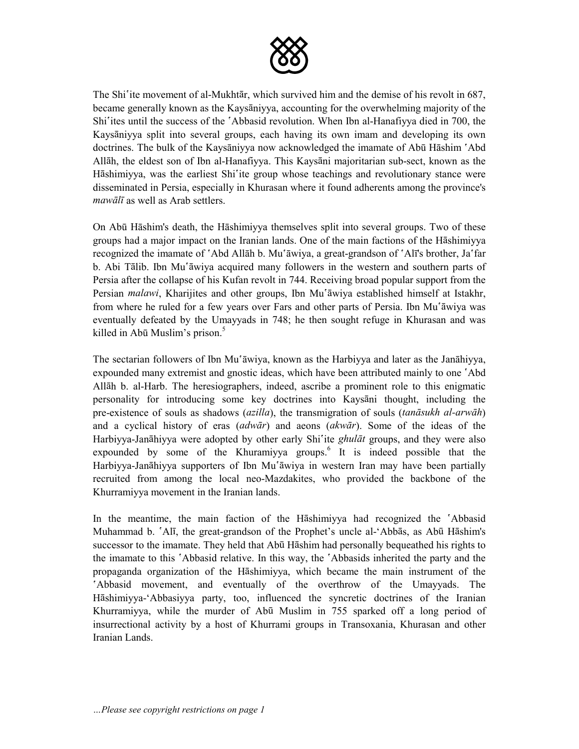

The Shi<sup>s</sup>ite movement of al-Mukht<del>ar, which survived him and the demise</del> of his revolt in 687, became generally known as the Kaysaniyya, accounting for the overwhelming majority of the Shi<sup>s</sup>ites until the success of the *`Abbasid revolution*. When Ibn al-Hanafiyya died in 700, the Kaysniyya split into several groups, each having its own imam and developing its own doctrines. The bulk of the Kaysaniyya now acknowledged the imamate of Abū Hashim  $\Delta$ bd Allāh, the eldest son of Ibn al-Hanafiyya. This Kaysāni majoritarian sub-sect, known as the Hāshimiyya, was the earliest Shi<sup>s</sup>ite group whose teachings and revolutionary stance were disseminated in Persia, especially in Khurasan where it found adherents among the province's *mawālī* as well as Arab settlers.

On Abū Hāshim's death, the Hāshimiyya themselves split into several groups. Two of these groups had a major impact on the Iranian lands. One of the main factions of the Hshimiyya recognized the imamate of `Abd Allāh b. Mu`āwiya, a great-grandson of `Alī's brother, Ja`far b. Abi Tālib. Ibn Mu'āwiya acquired many followers in the western and southern parts of Persia after the collapse of his Kufan revolt in 744. Receiving broad popular support from the Persian *malawi*, Kharijites and other groups, Ibn Mu'āwiya established himself at Istakhr, from where he ruled for a few years over Fars and other parts of Persia. Ibn Mu'āwiya was eventually defeated by the Umayyads in 748; he then sought refuge in Khurasan and was killed in Abū Muslim's prison. $5$ 

The sectarian followers of Ibn Mu'āwiya, known as the Harbiyya and later as the Janāhiyya, expounded many extremist and gnostic ideas, which have been attributed mainly to one 'Abd Allh b. al-Harb. The heresiographers, indeed, ascribe a prominent role to this enigmatic personality for introducing some key doctrines into Kaysani thought, including the pre-existence of souls as shadows (*azilla*), the transmigration of souls (*tansukh al-arwh*) and a cyclical history of eras (*adwr*) and aeons (*akwr*). Some of the ideas of the Harbiyya-Janāhiyya were adopted by other early Shi'ite *ghulāt* groups, and they were also expounded by some of the Khuramiyya groups. $6$  It is indeed possible that the Harbiyya-Janāhiyya supporters of Ibn Mu'āwiya in western Iran may have been partially recruited from among the local neo-Mazdakites, who provided the backbone of the Khurramiyya movement in the Iranian lands.

In the meantime, the main faction of the Hashimiyya had recognized the *Abbasid* Muhammad b.  $\hat{A}$ l $\hat{A}$ , the great-grandson of the Prophet's uncle al- $\hat{A}$ bbās, as Abū Hāshim's successor to the imamate. They held that Abū Hashim had personally bequeathed his rights to the imamate to this <sup>\*</sup>Abbasid relative. In this way, the <sup>\*</sup>Abbasids inherited the party and the propaganda organization of the Hshimiyya, which became the main instrument of the âAbbasid movement, and eventually of the overthrow of the Umayyads. The Hāshimiyya-'Abbasiyya party, too, influenced the syncretic doctrines of the Iranian Khurramiyya, while the murder of Abū Muslim in 755 sparked off a long period of insurrectional activity by a host of Khurrami groups in Transoxania, Khurasan and other Iranian Lands.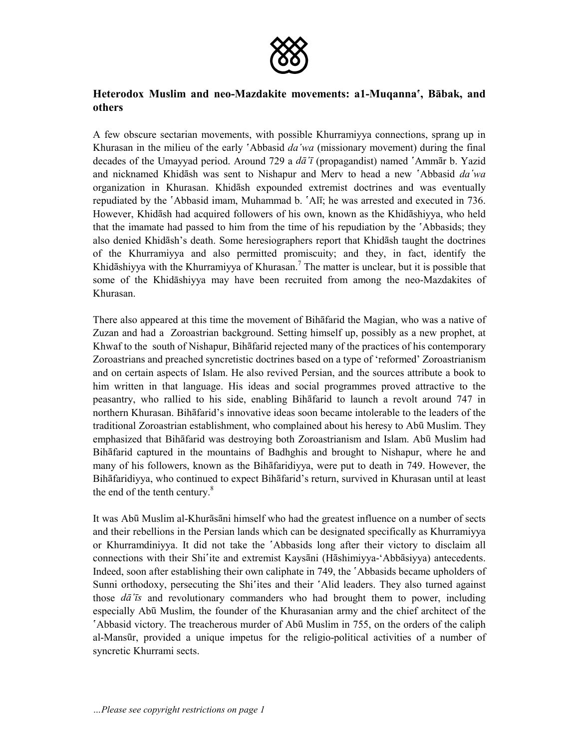

# **Heterodox Muslim and neo-Mazdakite movements: a1-Muqannaâ, Bbak, and others**

A few obscure sectarian movements, with possible Khurramiyya connections, sprang up in Khurasan in the milieu of the early *`Abbasid da'wa* (missionary movement) during the final decades of the Umayyad period. Around 729 a *da*<sup> $\tau$ </sup> (propagandist) named <sup>'</sup>Ammar b. Yazid and nicknamed Khidash was sent to Nishapur and Merv to head a new 'Abbasid *da'wa* organization in Khurasan. Khidash expounded extremist doctrines and was eventually repudiated by the 'Abbasid imam, Muhammad b. 'Alī; he was arrested and executed in 736. However, Khidāsh had acquired followers of his own, known as the Khidāshiyya, who held that the imamate had passed to him from the time of his repudiation by the *Abbasids*; they also denied Khidsh's death. Some heresiographers report that Khidsh taught the doctrines of the Khurramiyya and also permitted promiscuity; and they, in fact, identify the Khidāshiyya with the Khurramiyya of Khurasan.<sup>7</sup> The matter is unclear, but it is possible that some of the Khidshiyya may have been recruited from among the neo-Mazdakites of Khurasan.

There also appeared at this time the movement of Bihfarid the Magian, who was a native of Zuzan and had a Zoroastrian background. Setting himself up, possibly as a new prophet, at Khwaf to the south of Nishapur, Bihfarid rejected many of the practices of his contemporary Zoroastrians and preached syncretistic doctrines based on a type of 'reformed' Zoroastrianism and on certain aspects of Islam. He also revived Persian, and the sources attribute a book to him written in that language. His ideas and social programmes proved attractive to the peasantry, who rallied to his side, enabling Bihfarid to launch a revolt around 747 in northern Khurasan. Bihfarid's innovative ideas soon became intolerable to the leaders of the traditional Zoroastrian establishment, who complained about his heresy to Abū Muslim. They emphasized that Bihatarid was destroying both Zoroastrianism and Islam. Abū Muslim had Bihfarid captured in the mountains of Badhghis and brought to Nishapur, where he and many of his followers, known as the Bihfaridiyya, were put to death in 749. However, the Bihfaridiyya, who continued to expect Bihfarid's return, survived in Khurasan until at least the end of the tenth century.<sup>8</sup>

It was Abū Muslim al-Khurāsāni himself who had the greatest influence on a number of sects and their rebellions in the Persian lands which can be designated specifically as Khurramiyya or Khurramdiniyya. It did not take the 'Abbasids long after their victory to disclaim all connections with their Shi<sup>s</sup>ite and extremist Kaysani (Hashimiyya-'Abbasiyya) antecedents. Indeed, soon after establishing their own caliphate in 749, the 'Abbasids became upholders of Sunni orthodoxy, persecuting the Shi'ites and their 'Alid leaders. They also turned against those *dâ¯s* and revolutionary commanders who had brought them to power, including especially Abū Muslim, the founder of the Khurasanian army and the chief architect of the Abbasid victory. The treacherous murder of Abū Muslim in 755, on the orders of the caliph al-Mansūr, provided a unique impetus for the religio-political activities of a number of syncretic Khurrami sects.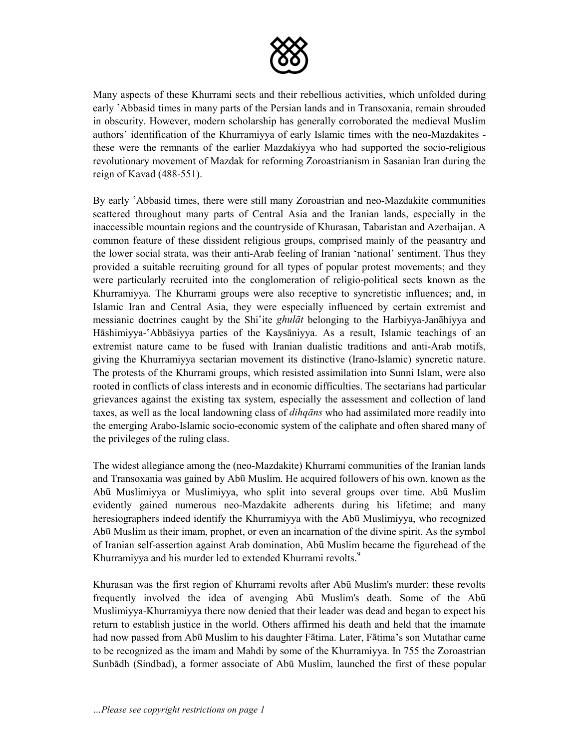

Many aspects of these Khurrami sects and their rebellious activities, which unfolded during early 'Abbasid times in many parts of the Persian lands and in Transoxania, remain shrouded in obscurity. However, modern scholarship has generally corroborated the medieval Muslim authors' identification of the Khurramiyya of early Islamic times with the neo-Mazdakites these were the remnants of the earlier Mazdakiyya who had supported the socio-religious revolutionary movement of Mazdak for reforming Zoroastrianism in Sasanian Iran during the reign of Kavad (488-551).

By early  $\Delta$ bbasid times, there were still many Zoroastrian and neo-Mazdakite communities scattered throughout many parts of Central Asia and the Iranian lands, especially in the inaccessible mountain regions and the countryside of Khurasan, Tabaristan and Azerbaijan. A common feature of these dissident religious groups, comprised mainly of the peasantry and the lower social strata, was their anti-Arab feeling of Iranian 'national' sentiment. Thus they provided a suitable recruiting ground for all types of popular protest movements; and they were particularly recruited into the conglomeration of religio-political sects known as the Khurramiyya. The Khurrami groups were also receptive to syncretistic influences; and, in Islamic Iran and Central Asia, they were especially influenced by certain extremist and messianic doctrines caught by the Shi<sup>n</sup>ite *ghulāt* belonging to the Harbiyya-Janāhiyya and Hāshimiyya-'Abbāsiyya parties of the Kaysāniyya. As a result, Islamic teachings of an extremist nature came to be fused with Iranian dualistic traditions and anti-Arab motifs, giving the Khurramiyya sectarian movement its distinctive (Irano-Islamic) syncretic nature. The protests of the Khurrami groups, which resisted assimilation into Sunni Islam, were also rooted in conflicts of class interests and in economic difficulties. The sectarians had particular grievances against the existing tax system, especially the assessment and collection of land taxes, as well as the local landowning class of *dihqns* who had assimilated more readily into the emerging Arabo-Islamic socio-economic system of the caliphate and often shared many of the privileges of the ruling class.

The widest allegiance among the (neo-Mazdakite) Khurrami communities of the Iranian lands and Transoxania was gained by Abū Muslim. He acquired followers of his own, known as the Abū Muslimiyya or Muslimiyya, who split into several groups over time. Abū Muslim evidently gained numerous neo-Mazdakite adherents during his lifetime; and many heresiographers indeed identify the Khurramiyya with the Abū Muslimiyya, who recognized Abū Muslim as their imam, prophet, or even an incarnation of the divine spirit. As the symbol of Iranian self-assertion against Arab domination, Abū Muslim became the figurehead of the Khurramiyya and his murder led to extended Khurrami revolts.<sup>9</sup>

Khurasan was the first region of Khurrami revolts after Abū Muslim's murder; these revolts frequently involved the idea of avenging Abū Muslim's death. Some of the Abū Muslimiyya-Khurramiyya there now denied that their leader was dead and began to expect his return to establish justice in the world. Others affirmed his death and held that the imamate had now passed from Abū Muslim to his daughter Fātima. Later, Fātima's son Mutathar came to be recognized as the imam and Mahdi by some of the Khurramiyya. In 755 the Zoroastrian Sunbādh (Sindbad), a former associate of Abū Muslim, launched the first of these popular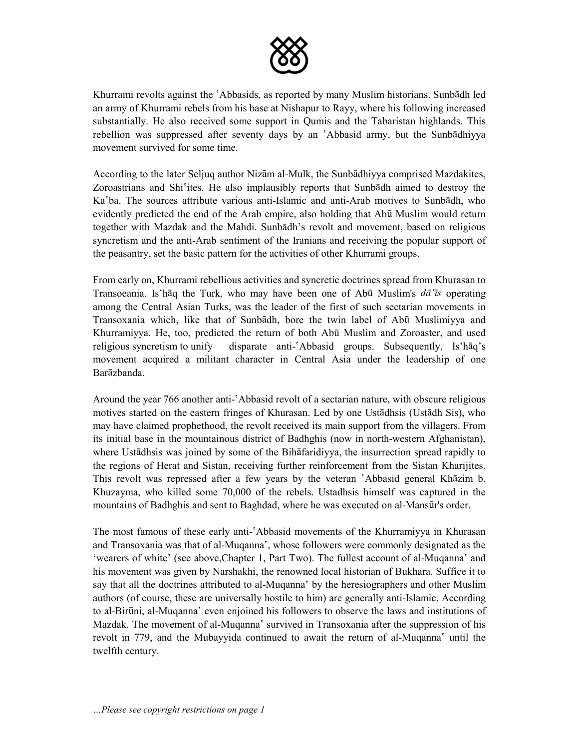

Khurrami revolts against the 'Abbasids, as reported by many Muslim historians. Sunbādh led an army of Khurrami rebels from his base at Nishapur to Rayy, where his following increased substantially. He also received some support in Qumis and the Tabaristan highlands. This rebellion was suppressed after seventy days by an 'Abbasid army, but the Sunbādhiyya movement survived for some time.

According to the later Seljuq author Nizām al-Mulk, the Sunbādhiyya comprised Mazdakites, Zoroastrians and Shi'ites. He also implausibly reports that Sunbādh aimed to destroy the Ka'ba. The sources attribute various anti-Islamic and anti-Arab motives to Sunbadh, who evidently predicted the end of the Arab empire, also holding that Abū Muslim would return together with Mazdak and the Mahdi. Sunbādh's revolt and movement, based on religious syncretism and the anti-Arab sentiment of the Iranians and receiving the popular support of the peasantry, set the basic pattern for the activities of other Khurrami groups.

From early on, Khurrami rebellious activities and syncretic doctrines spread from Khurasan to Transoeania. Is'haq the Turk, who may have been one of Abū Muslim's  $d\vec{a}$  *is* operating among the Central Asian Turks, was the leader of the first of such sectarian movements in Transoxania which, like that of Sunbādh, bore the twin label of Abū Muslimiyya and Khurramiyya. He, too, predicted the return of both Abū Muslim and Zoroaster, and used religious syncretism to unify disparate anti- $\Delta$ bbasid groups. Subsequently, Is'h $\bar{a}q$ 's movement acquired a militant character in Central Asia under the leadership of one **Barāzhanda** 

Around the year 766 another anti- $\Delta$ bbasid revolt of a sectarian nature, with obscure religious motives started on the eastern fringes of Khurasan. Led by one Ustādhsis (Ustādh Sis), who may have claimed prophethood, the revolt received its main support from the villagers. From its initial base in the mountainous district of Badhghis (now in north-western Afghanistan), where Ustādhsis was joined by some of the Bihāfaridiyya, the insurrection spread rapidly to the regions of Herat and Sistan, receiving further reinforcement from the Sistan Kharijites. This revolt was repressed after a few years by the veteran 'Abbasid general Khazim b. Khuzayma, who killed some 70,000 of the rebels. Ustadhsis himself was captured in the mountains of Badhghis and sent to Baghdad, where he was executed on al-Mansūr's order.

The most famous of these early anti- $\Delta$ bbasid movements of the Khurramiyya in Khurasan and Transoxania was that of al-Muqanna<sup>s</sup>, whose followers were commonly designated as the 'wearers of white' (see above, Chapter 1, Part Two). The fullest account of al-Muqanna' and his movement was given by Narshakhi, the renowned local historian of Bukhara. Suffice it to say that all the doctrines attributed to al-Muqanna<sup>s</sup> by the heresiographers and other Muslim authors (of course, these are universally hostile to him) are generally anti-Islamic. According to al-Birūni, al-Muqanna<sup>s</sup> even enjoined his followers to observe the laws and institutions of Mazdak. The movement of al-Muqanna<sup>s</sup> survived in Transoxania after the suppression of his revolt in 779, and the Mubayyida continued to await the return of al-Muqanna<sup>s</sup> until the twelfth century.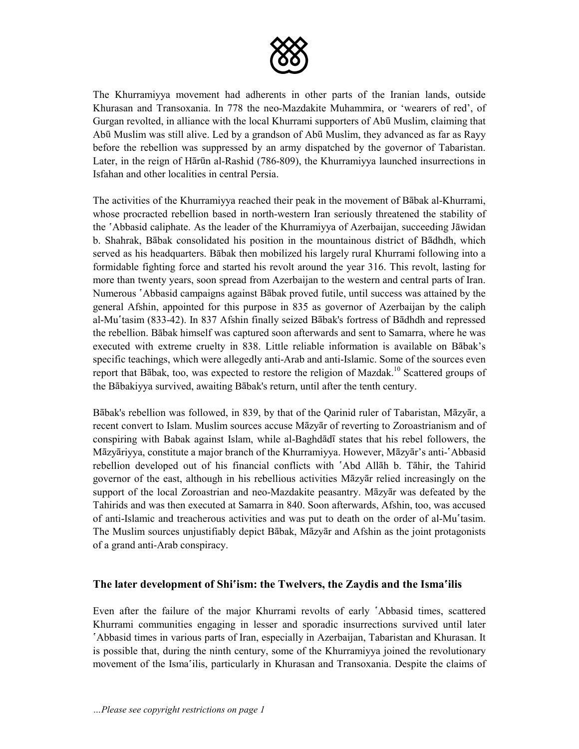

The Khurramiyya movement had adherents in other parts of the Iranian lands, outside Khurasan and Transoxania. In 778 the neo-Mazdakite Muhammira, or 'wearers of red', of Gurgan revolted, in alliance with the local Khurrami supporters of Abū Muslim, claiming that Abū Muslim was still alive. Led by a grandson of Abū Muslim, they advanced as far as Rayy before the rebellion was suppressed by an army dispatched by the governor of Tabaristan. Later, in the reign of Hārūn al-Rashid (786-809), the Khurramiyya launched insurrections in Isfahan and other localities in central Persia.

The activities of the Khurramiyya reached their peak in the movement of Babak al-Khurrami, whose procracted rebellion based in north-western Iran seriously threatened the stability of the 'Abbasid caliphate. As the leader of the Khurramiyya of Azerbaijan, succeeding Jāwidan b. Shahrak, Bābak consolidated his position in the mountainous district of Bādhdh, which served as his headquarters. Babak then mobilized his largely rural Khurrami following into a formidable fighting force and started his revolt around the year 316. This revolt, lasting for more than twenty years, soon spread from Azerbaijan to the western and central parts of Iran. Numerous 'Abbasid campaigns against Bābak proved futile, until success was attained by the general Afshin, appointed for this purpose in 835 as governor of Azerbaijan by the caliph al-Muʿtasim (833-42). In 837 Afshin finally seized Bābak's fortress of Bādhdh and repressed the rebellion. Babak himself was captured soon afterwards and sent to Samarra, where he was executed with extreme cruelty in 838. Little reliable information is available on Babak's specific teachings, which were allegedly anti-Arab and anti-Islamic. Some of the sources even report that Bābak, too, was expected to restore the religion of Mazdak.<sup>10</sup> Scattered groups of the Bābakiyya survived, awaiting Bābak's return, until after the tenth century.

Bābak's rebellion was followed, in 839, by that of the Oarinid ruler of Tabaristan, Māzyār, a recent convert to Islam. Muslim sources accuse Māzyār of reverting to Zoroastrianism and of conspiring with Babak against Islam, while al-Baghdadī states that his rebel followers, the Māzyāriyya, constitute a major branch of the Khurramiyya. However, Māzyār's anti-'Abbasid rebellion developed out of his financial conflicts with 'Abd Allah b. Tahir, the Tahirid governor of the east, although in his rebellious activities Mazyar relied increasingly on the support of the local Zoroastrian and neo-Mazdakite peasantry. Mazyar was defeated by the Tahirids and was then executed at Samarra in 840. Soon afterwards, Afshin, too, was accused of anti-Islamic and treacherous activities and was put to death on the order of al-Mu'tasim. The Muslim sources unjustifiably depict Babak, Mazyar and Afshin as the joint protagonists of a grand anti-Arab conspiracy.

#### **The later development of Shiâism: the Twelvers, the Zaydis and the Ismaâilis**

Even after the failure of the major Khurrami revolts of early 'Abbasid times, scattered Khurrami communities engaging in lesser and sporadic insurrections survived until later âAbbasid times in various parts of Iran, especially in Azerbaijan, Tabaristan and Khurasan. It is possible that, during the ninth century, some of the Khurramiyya joined the revolutionary movement of the Ismaâilis, particularly in Khurasan and Transoxania. Despite the claims of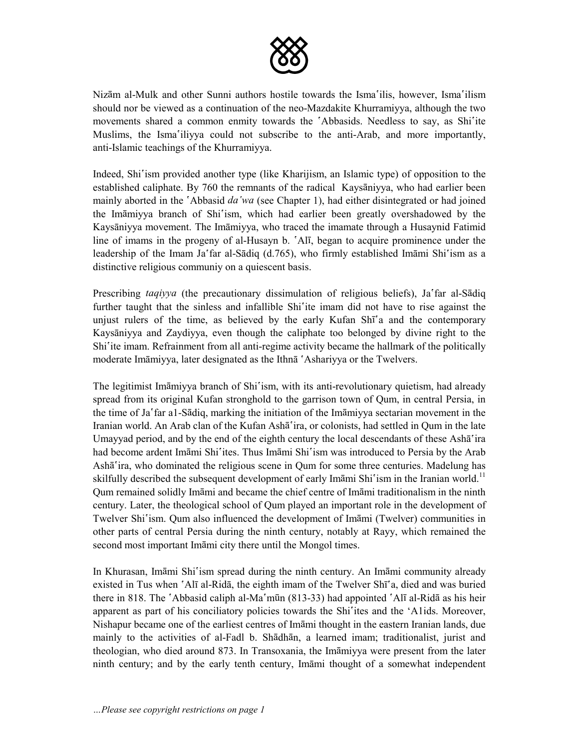

Nizām al-Mulk and other Sunni authors hostile towards the Isma<sup>s</sup>ilis, however, Isma<sup>s</sup>ilism should nor be viewed as a continuation of the neo-Mazdakite Khurramiyya, although the two movements shared a common enmity towards the 'Abbasids. Needless to say, as Shi'ite Muslims, the Isma'iliyya could not subscribe to the anti-Arab, and more importantly, anti-Islamic teachings of the Khurramiyya.

Indeed, Shi<sup>s</sup>ism provided another type (like Kharijism, an Islamic type) of opposition to the established caliphate. By 760 the remnants of the radical Kaysaniyya, who had earlier been mainly aborted in the *`Abbasid da'wa* (see Chapter 1), had either disintegrated or had joined the Imāmiyya branch of Shi'ism, which had earlier been greatly overshadowed by the Kaysāniyya movement. The Imāmiyya, who traced the imamate through a Husaynid Fatimid line of imams in the progeny of al-Husayn b.  $\Delta$ l $\bar{\Lambda}$ , began to acquire prominence under the leadership of the Imam Ja'far al-Sādiq (d.765), who firmly established Imāmi Shi'ism as a distinctive religious communiy on a quiescent basis.

Prescribing *taqiyya* (the precautionary dissimulation of religious beliefs), Ja'far al-Sādiq further taught that the sinless and infallible Shi<sup>s</sup>ite imam did not have to rise against the unjust rulers of the time, as believed by the early Kufan Shī<sup>s</sup>a and the contemporary Kaysāniyya and Zaydiyya, even though the caliphate too belonged by divine right to the Shi<sup>s</sup>ite imam. Refrainment from all anti-regime activity became the hallmark of the politically moderate Imāmiyya, later designated as the Ithn a 'Ashariyya or the Twelvers.

The legitimist Imamiyya branch of Shi'ism, with its anti-revolutionary quietism, had already spread from its original Kufan stronghold to the garrison town of Qum, in central Persia, in the time of Jaâfar a1-Sdiq, marking the initiation of the Immiyya sectarian movement in the Iranian world. An Arab clan of the Kufan Ashā'ira, or colonists, had settled in Qum in the late Umayyad period, and by the end of the eighth century the local descendants of these Ash $\bar{a}$  ira had become ardent Imāmi Shi'ites. Thus Imāmi Shi'ism was introduced to Persia by the Arab Ashā'ira, who dominated the religious scene in Qum for some three centuries. Madelung has skilfully described the subsequent development of early Imāmi Shi'ism in the Iranian world.<sup>11</sup> Qum remained solidly Imami and became the chief centre of Imami traditionalism in the ninth century. Later, the theological school of Qum played an important role in the development of Twelver Shi'ism. Qum also influenced the development of Imami (Twelver) communities in other parts of central Persia during the ninth century, notably at Rayy, which remained the second most important Imāmi city there until the Mongol times.

In Khurasan, Imāmi Shi'ism spread during the ninth century. An Imāmi community already existed in Tus when  $\hat{\;}$ Alī al-Ridā, the eighth imam of the Twelver Shī $\hat{\;}$ a, died and was buried there in 818. The 'Abbasid caliph al-Ma'mūn (813-33) had appointed 'Alī al-Ridā as his heir apparent as part of his conciliatory policies towards the Shi'ites and the 'A1ids. Moreover, Nishapur became one of the earliest centres of Imāmi thought in the eastern Iranian lands, due mainly to the activities of al-Fadl b. Shadhan, a learned imam; traditionalist, jurist and theologian, who died around 873. In Transoxania, the Imāmiyya were present from the later ninth century; and by the early tenth century, Immi thought of a somewhat independent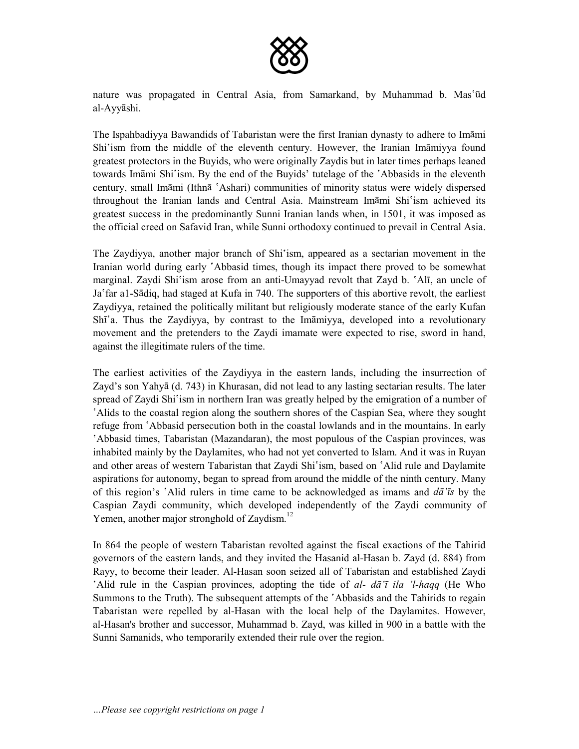

nature was propagated in Central Asia, from Samarkand, by Muhammad b. Mas'ūd al-Ayyshi.

The Ispahbadiyya Bawandids of Tabaristan were the first Iranian dynasty to adhere to Immi Shi<sup>s</sup>ism from the middle of the eleventh century. However, the Iranian Imamiyya found greatest protectors in the Buyids, who were originally Zaydis but in later times perhaps leaned towards Imāmi Shi'ism. By the end of the Buvids' tutelage of the 'Abbasids in the eleventh century, small Imāmi (Ithnā 'Ashari) communities of minority status were widely dispersed throughout the Iranian lands and Central Asia. Mainstream Imāmi Shi'ism achieved its greatest success in the predominantly Sunni Iranian lands when, in 1501, it was imposed as the official creed on Safavid Iran, while Sunni orthodoxy continued to prevail in Central Asia.

The Zaydiyya, another major branch of Shi'ism, appeared as a sectarian movement in the Iranian world during early *`Abbasid times*, though its impact there proved to be somewhat marginal. Zaydi Shi'ism arose from an anti-Umayyad revolt that Zayd b.  $\Delta I_{\text{I}}$ , an uncle of Ja'far a1-Sādiq, had staged at Kufa in 740. The supporters of this abortive revolt, the earliest Zaydiyya, retained the politically militant but religiously moderate stance of the early Kufan Shī<sup>s</sup>a. Thus the Zaydiyya, by contrast to the Imāmiyya, developed into a revolutionary movement and the pretenders to the Zaydi imamate were expected to rise, sword in hand, against the illegitimate rulers of the time.

The earliest activities of the Zaydiyya in the eastern lands, including the insurrection of Zayd's son Yahyā (d. 743) in Khurasan, did not lead to any lasting sectarian results. The later spread of Zaydi Shi'ism in northern Iran was greatly helped by the emigration of a number of âAlids to the coastal region along the southern shores of the Caspian Sea, where they sought refuge from  $\Delta$ bbasid persecution both in the coastal lowlands and in the mountains. In early Abbasid times, Tabaristan (Mazandaran), the most populous of the Caspian provinces, was inhabited mainly by the Daylamites, who had not yet converted to Islam. And it was in Ruyan and other areas of western Tabaristan that Zaydi Shi'ism, based on 'Alid rule and Daylamite aspirations for autonomy, began to spread from around the middle of the ninth century. Many of this region's âAlid rulers in time came to be acknowledged as imams and *dâ¯s* by the Caspian Zaydi community, which developed independently of the Zaydi community of Yemen, another major stronghold of Zaydism.<sup>12</sup>

In 864 the people of western Tabaristan revolted against the fiscal exactions of the Tahirid governors of the eastern lands, and they invited the Hasanid al-Hasan b. Zayd (d. 884) from Rayy, to become their leader. Al-Hasan soon seized all of Tabaristan and established Zaydi âAlid rule in the Caspian provinces, adopting the tide of *al- dâ¯ ila ul-haqq* (He Who Summons to the Truth). The subsequent attempts of the 'Abbasids and the Tahirids to regain Tabaristan were repelled by al-Hasan with the local help of the Daylamites. However, al-Hasan's brother and successor, Muhammad b. Zayd, was killed in 900 in a battle with the Sunni Samanids, who temporarily extended their rule over the region.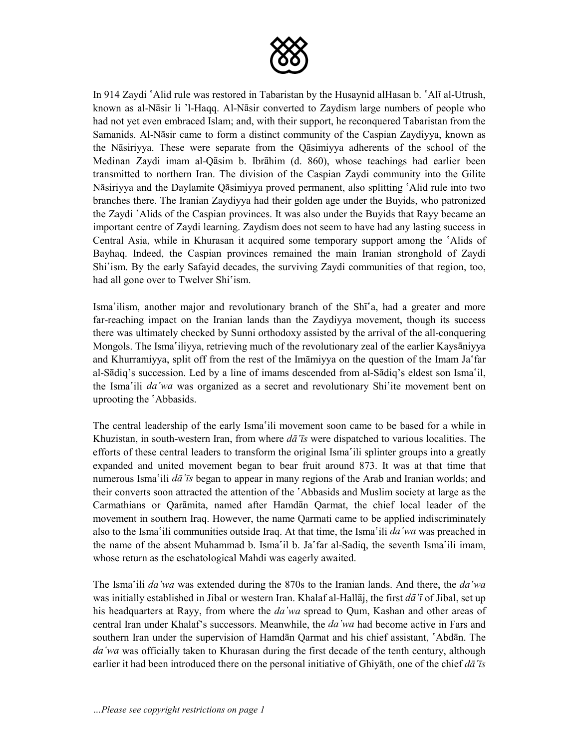

In 914 Zaydi <sup>o</sup>Alid rule was restored in Tabaristan by the Husaynid alHasan b. <sup>o</sup>Al<sup> $\bar{a}$ </sup>l al-Utrush, known as al-Nāsir li 'l-Haqq. Al-Nāsir converted to Zaydism large numbers of people who had not yet even embraced Islam; and, with their support, he reconquered Tabaristan from the Samanids. Al-Nāsir came to form a distinct community of the Caspian Zaydiyya, known as the Nasiriyya. These were separate from the Qasimiyya adherents of the school of the Medinan Zaydi imam al-Qāsim b. Ibrāhim (d. 860), whose teachings had earlier been transmitted to northern Iran. The division of the Caspian Zaydi community into the Gilite Nāsiriyya and the Daylamite Qāsimiyya proved permanent, also splitting 'Alid rule into two branches there. The Iranian Zaydiyya had their golden age under the Buyids, who patronized the Zaydi 'Alids of the Caspian provinces. It was also under the Buyids that Rayy became an important centre of Zaydi learning. Zaydism does not seem to have had any lasting success in Central Asia, while in Khurasan it acquired some temporary support among the 'Alids of Bayhaq. Indeed, the Caspian provinces remained the main Iranian stronghold of Zaydi Shi<sup>s</sup>ism. By the early Safayid decades, the surviving Zaydi communities of that region, too, had all gone over to Twelver Shi'ism.

Isma<sup>s</sup>ilism, another major and revolutionary branch of the Shī<sup>s</sup>a, had a greater and more far-reaching impact on the Iranian lands than the Zaydiyya movement, though its success there was ultimately checked by Sunni orthodoxy assisted by the arrival of the all-conquering Mongols. The Isma iliyya, retrieving much of the revolutionary zeal of the earlier Kaysaniyya and Khurramiyya, split off from the rest of the Imamiyya on the question of the Imam Ja'far al-Sādiq's succession. Led by a line of imams descended from al-Sādiq's eldest son Isma'il, the Isma<sup>s</sup>ili *da* 'wa was organized as a secret and revolutionary Shi<sup>s</sup>ite movement bent on uprooting the 'Abbasids.

The central leadership of the early Isma'ili movement soon came to be based for a while in Khuzistan, in south-western Iran, from where *dâ¯s* were dispatched to various localities. The efforts of these central leaders to transform the original Isma'ili splinter groups into a greatly expanded and united movement began to bear fruit around 873. It was at that time that numerous Isma<sup>s</sup>ili *da*<sup>*r*</sup>*s* began to appear in many regions of the Arab and Iranian worlds; and their converts soon attracted the attention of the *`Abbasids* and Muslim society at large as the Carmathians or Qaramita, named after Hamdan Qarmat, the chief local leader of the movement in southern Iraq. However, the name Qarmati came to be applied indiscriminately also to the Isma<sup>s</sup>ili communities outside Iraq. At that time, the Isma<sup>s</sup>ili *da wa* was preached in the name of the absent Muhammad b. Isma<sup>s</sup>il b. Ja<sup>s</sup> far al-Sadiq, the seventh Isma<sup>s</sup>ili imam, whose return as the eschatological Mahdi was eagerly awaited.

The Isma<sup>s</sup>ili *da wa* was extended during the 870s to the Iranian lands. And there, the *da wa* was initially established in Jibal or western Iran. Khalaf al-Hallaj, the first  $d\bar{a}$ <sup>'</sup> to f Jibal, set up his headquarters at Rayy, from where the *da wa* spread to Oum, Kashan and other areas of central Iran under Khalaf's successors. Meanwhile, the *daâwa* had become active in Fars and southern Iran under the supervision of Hamdan Qarmat and his chief assistant, 'Abdan. The da *wa* was officially taken to Khurasan during the first decade of the tenth century, although earlier it had been introduced there on the personal initiative of Ghiyth, one of the chief *dâ¯s*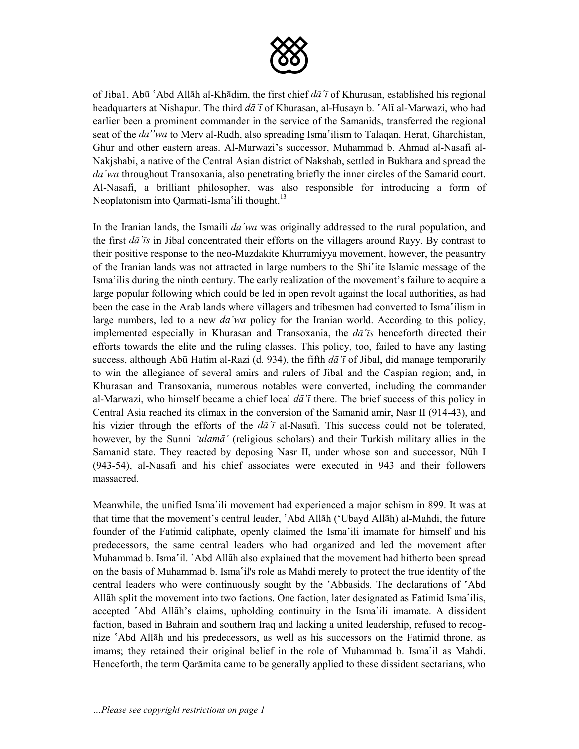

of Jiba1. Abū `Abd Allāh al-Khādim, the first chief *dā* '*ī* of Khurasan, established his regional headquarters at Nishapur. The third *dā*<sup>†</sup> of Khurasan, al-Husayn b. <sup>^</sup>Alī al-Marwazi, who had earlier been a prominent commander in the service of the Samanids, transferred the regional seat of the *da''wa* to Merv al-Rudh, also spreading Isma'ilism to Talaqan. Herat, Gharchistan, Ghur and other eastern areas. Al-Marwazi's successor, Muhammad b. Ahmad al-Nasafi al-Nakjshabi, a native of the Central Asian district of Nakshab, settled in Bukhara and spread the *daâwa* throughout Transoxania, also penetrating briefly the inner circles of the Samarid court. Al-Nasafi, a brilliant philosopher, was also responsible for introducing a form of Neoplatonism into Qarmati-Isma'ili thought. $13$ 

In the Iranian lands, the Ismaili *daâwa* was originally addressed to the rural population, and the first *dâ¯s* in Jibal concentrated their efforts on the villagers around Rayy. By contrast to their positive response to the neo-Mazdakite Khurramiyya movement, however, the peasantry of the Iranian lands was not attracted in large numbers to the Shi<sup>s</sup>ite Islamic message of the Ismaâilis during the ninth century. The early realization of the movement's failure to acquire a large popular following which could be led in open revolt against the local authorities, as had been the case in the Arab lands where villagers and tribesmen had converted to Isma'ilism in large numbers, led to a new *da'wa* policy for the Iranian world. According to this policy, implemented especially in Khurasan and Transoxania, the *dâ¯s* henceforth directed their efforts towards the elite and the ruling classes. This policy, too, failed to have any lasting success, although Abū Hatim al-Razi (d. 934), the fifth  $d\bar{a}$ <sup>†</sup> of Jibal, did manage temporarily to win the allegiance of several amirs and rulers of Jibal and the Caspian region; and, in Khurasan and Transoxania, numerous notables were converted, including the commander al-Marwazi, who himself became a chief local *dâ¯* there. The brief success of this policy in Central Asia reached its climax in the conversion of the Samanid amir, Nasr II (914-43), and his vizier through the efforts of the  $d\bar{a}^{\dagger}$  al-Nasafi. This success could not be tolerated, however, by the Sunni 'ulama' (religious scholars) and their Turkish military allies in the Samanid state. They reacted by deposing Nasr II, under whose son and successor, Nūh I (943-54), al-Nasafi and his chief associates were executed in 943 and their followers massacred.

Meanwhile, the unified Isma'ili movement had experienced a major schism in 899. It was at that time that the movement's central leader, 'Abd Allāh ('Ubayd Allāh) al-Mahdi, the future founder of the Fatimid caliphate, openly claimed the Isma'ili imamate for himself and his predecessors, the same central leaders who had organized and led the movement after Muhammad b. Isma'il. 'Abd Allāh also explained that the movement had hitherto been spread on the basis of Muhammad b. Isma'il's role as Mahdi merely to protect the true identity of the central leaders who were continuously sought by the 'Abbasids. The declarations of 'Abd Allah split the movement into two factions. One faction, later designated as Fatimid Isma'ilis, accepted 'Abd Allāh's claims, upholding continuity in the Isma'ili imamate. A dissident faction, based in Bahrain and southern Iraq and lacking a united leadership, refused to recognize  $A$ bd Allāh and his predecessors, as well as his successors on the Fatimid throne, as imams; they retained their original belief in the role of Muhammad b. Isma'il as Mahdi. Henceforth, the term Qaramita came to be generally applied to these dissident sectarians, who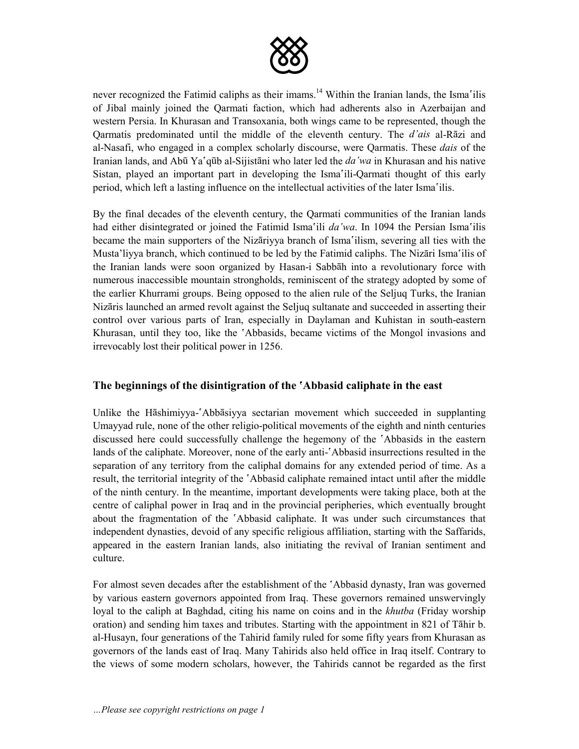

never recognized the Fatimid caliphs as their imams.<sup>14</sup> Within the Iranian lands, the Isma'ilis of Jibal mainly joined the Qarmati faction, which had adherents also in Azerbaijan and western Persia. In Khurasan and Transoxania, both wings came to be represented, though the Qarmatis predominated until the middle of the eleventh century. The *d'ais* al-Rzi and al-Nasafi, who engaged in a complex scholarly discourse, were Qarmatis. These *dais* of the Iranian lands, and Abū Ya'qūb al-Sijistāni who later led the *da* 'wa in Khurasan and his native Sistan, played an important part in developing the Ismaâili-Qarmati thought of this early period, which left a lasting influence on the intellectual activities of the later Isma<sup>s</sup>ilis.

By the final decades of the eleventh century, the Qarmati communities of the Iranian lands had either disintegrated or joined the Fatimid Isma'ili *da'wa*. In 1094 the Persian Isma'ilis became the main supporters of the Nizariyya branch of Isma'ilism, severing all ties with the Musta'liyya branch, which continued to be led by the Fatimid caliphs. The Nizari Isma'ilis of the Iranian lands were soon organized by Hasan-i Sabbah into a revolutionary force with numerous inaccessible mountain strongholds, reminiscent of the strategy adopted by some of the earlier Khurrami groups. Being opposed to the alien rule of the Seljuq Turks, the Iranian Nizaris launched an armed revolt against the Seljuq sultanate and succeeded in asserting their control over various parts of Iran, especially in Daylaman and Kuhistan in south-eastern Khurasan, until they too, like the 'Abbasids, became victims of the Mongol invasions and irrevocably lost their political power in 1256.

#### **The beginnings of the disintigration of the âAbbasid caliphate in the east**

Unlike the Hāshimiyya-'Abbāsiyya sectarian movement which succeeded in supplanting Umayyad rule, none of the other religio-political movements of the eighth and ninth centuries discussed here could successfully challenge the hegemony of the  $\Delta$ Abbasids in the eastern lands of the caliphate. Moreover, none of the early anti-'Abbasid insurrections resulted in the separation of any territory from the caliphal domains for any extended period of time. As a result, the territorial integrity of the 'Abbasid caliphate remained intact until after the middle of the ninth century. In the meantime, important developments were taking place, both at the centre of caliphal power in Iraq and in the provincial peripheries, which eventually brought about the fragmentation of the 'Abbasid caliphate. It was under such circumstances that independent dynasties, devoid of any specific religious affiliation, starting with the Saffarids, appeared in the eastern Iranian lands, also initiating the revival of Iranian sentiment and culture.

For almost seven decades after the establishment of the  $\Delta$ Abbasid dynasty, Iran was governed by various eastern governors appointed from Iraq. These governors remained unswervingly loyal to the caliph at Baghdad, citing his name on coins and in the *khutba* (Friday worship oration) and sending him taxes and tributes. Starting with the appointment in 821 of Tāhir b. al-Husayn, four generations of the Tahirid family ruled for some fifty years from Khurasan as governors of the lands east of Iraq. Many Tahirids also held office in Iraq itself. Contrary to the views of some modern scholars, however, the Tahirids cannot be regarded as the first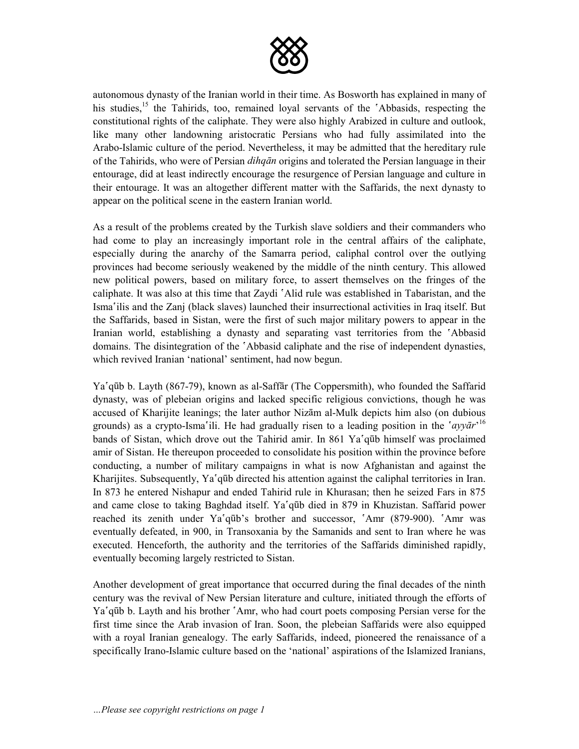

autonomous dynasty of the Iranian world in their time. As Bosworth has explained in many of his studies,<sup>15</sup> the Tahirids, too, remained loyal servants of the 'Abbasids, respecting the constitutional rights of the caliphate. They were also highly Arabized in culture and outlook, like many other landowning aristocratic Persians who had fully assimilated into the Arabo-Islamic culture of the period. Nevertheless, it may be admitted that the hereditary rule of the Tahirids, who were of Persian *dihqn* origins and tolerated the Persian language in their entourage, did at least indirectly encourage the resurgence of Persian language and culture in their entourage. It was an altogether different matter with the Saffarids, the next dynasty to appear on the political scene in the eastern Iranian world.

As a result of the problems created by the Turkish slave soldiers and their commanders who had come to play an increasingly important role in the central affairs of the caliphate, especially during the anarchy of the Samarra period, caliphal control over the outlying provinces had become seriously weakened by the middle of the ninth century. This allowed new political powers, based on military force, to assert themselves on the fringes of the caliphate. It was also at this time that Zaydi 'Alid rule was established in Tabaristan, and the Ismaâilis and the Zanj (black slaves) launched their insurrectional activities in Iraq itself. But the Saffarids, based in Sistan, were the first of such major military powers to appear in the Iranian world, establishing a dynasty and separating vast territories from the 'Abbasid domains. The disintegration of the  $\Delta$ bbasid caliphate and the rise of independent dynasties, which revived Iranian 'national' sentiment, had now begun.

Ya'qūb b. Layth (867-79), known as al-Saffar (The Coppersmith), who founded the Saffarid dynasty, was of plebeian origins and lacked specific religious convictions, though he was accused of Kharijite leanings; the later author Nizām al-Mulk depicts him also (on dubious grounds) as a crypto-Isma'ili. He had gradually risen to a leading position in the 'ayyar'<sup>16</sup> bands of Sistan, which drove out the Tahirid amir. In 861 Ya'qūb himself was proclaimed amir of Sistan. He thereupon proceeded to consolidate his position within the province before conducting, a number of military campaigns in what is now Afghanistan and against the Kharijites. Subsequently, Ya'qūb directed his attention against the caliphal territories in Iran. In 873 he entered Nishapur and ended Tahirid rule in Khurasan; then he seized Fars in 875 and came close to taking Baghdad itself. Ya'qūb died in 879 in Khuzistan. Saffarid power reached its zenith under Ya'qūb's brother and successor, 'Amr (879-900). 'Amr was eventually defeated, in 900, in Transoxania by the Samanids and sent to Iran where he was executed. Henceforth, the authority and the territories of the Saffarids diminished rapidly, eventually becoming largely restricted to Sistan.

Another development of great importance that occurred during the final decades of the ninth century was the revival of New Persian literature and culture, initiated through the efforts of Ya<sup> $\alpha$ </sup> aūb b. Layth and his brother  $\beta$ Amr, who had court poets composing Persian verse for the first time since the Arab invasion of Iran. Soon, the plebeian Saffarids were also equipped with a royal Iranian genealogy. The early Saffarids, indeed, pioneered the renaissance of a specifically Irano-Islamic culture based on the 'national' aspirations of the Islamized Iranians,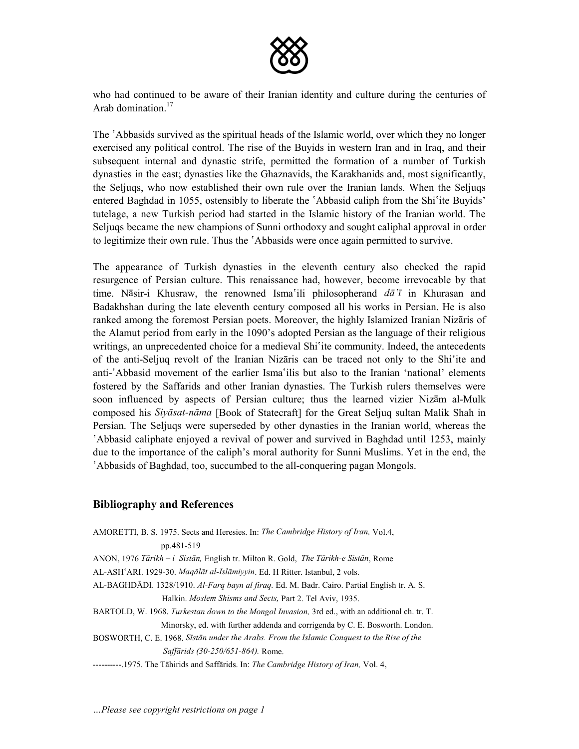

who had continued to be aware of their Iranian identity and culture during the centuries of Arab domination $17$ 

The  $\Delta$ Abbasids survived as the spiritual heads of the Islamic world, over which they no longer exercised any political control. The rise of the Buyids in western Iran and in Iraq, and their subsequent internal and dynastic strife, permitted the formation of a number of Turkish dynasties in the east; dynasties like the Ghaznavids, the Karakhanids and, most significantly, the Seljuqs, who now established their own rule over the Iranian lands. When the Seljuqs entered Baghdad in 1055, ostensibly to liberate the 'Abbasid caliph from the Shi<sup>s</sup>ite Buyids' tutelage, a new Turkish period had started in the Islamic history of the Iranian world. The Seljuqs became the new champions of Sunni orthodoxy and sought caliphal approval in order to legitimize their own rule. Thus the *`Abbasids* were once again permitted to survive.

The appearance of Turkish dynasties in the eleventh century also checked the rapid resurgence of Persian culture. This renaissance had, however, become irrevocable by that time. Nasir-i Khusraw, the renowned Isma'ili philosopherand *da*<sup>†</sup> in Khurasan and Badakhshan during the late eleventh century composed all his works in Persian. He is also ranked among the foremost Persian poets. Moreover, the highly Islamized Iranian Nizaris of the Alamut period from early in the 1090's adopted Persian as the language of their religious writings, an unprecedented choice for a medieval Shi<sup>s</sup>ite community. Indeed, the antecedents of the anti-Seljuq revolt of the Iranian Nizaris can be traced not only to the Shi'ite and anti-`Abbasid movement of the earlier Isma`ilis but also to the Iranian 'national' elements fostered by the Saffarids and other Iranian dynasties. The Turkish rulers themselves were soon influenced by aspects of Persian culture; thus the learned vizier Nizam al-Mulk composed his *Siysat-nma* [Book of Statecraft] for the Great Seljuq sultan Malik Shah in Persian. The Seljuqs were superseded by other dynasties in the Iranian world, whereas the Abbasid caliphate enjoyed a revival of power and survived in Baghdad until 1253, mainly due to the importance of the caliph's moral authority for Sunni Muslims. Yet in the end, the Abbasids of Baghdad, too, succumbed to the all-conquering pagan Mongols.

#### **Bibliography and References**

| AMORETTI, B. S. 1975. Sects and Heresies. In: The Cambridge History of Iran, Vol.4,             |
|-------------------------------------------------------------------------------------------------|
| pp.481-519                                                                                      |
| ANON, 1976 Tārikh – i Sistān, English tr. Milton R. Gold, The Tārikh-e Sistān, Rome             |
| AL-ASH'ARI. 1929-30. Magālāt al-Islāmiyyin. Ed. H Ritter. Istanbul, 2 vols.                     |
| AL-BAGHDĀDI. 1328/1910. Al-Farq bayn al firaq. Ed. M. Badr. Cairo. Partial English tr. A. S.    |
| Halkin, Moslem Shisms and Sects, Part 2. Tel Aviv, 1935.                                        |
| BARTOLD, W. 1968. Turkestan down to the Mongol Invasion, 3rd ed., with an additional ch. tr. T. |
| Minorsky, ed. with further addenda and corrigenda by C. E. Bosworth. London.                    |
| BOSWORTH, C. E. 1968. Ststān under the Arabs. From the Islamic Conquest to the Rise of the      |
| <i>Saffārids (30-250/651-864)</i> . Rome.                                                       |
| ----------1975. The Tāhirids and Saffārids. In: The Cambridge History of Iran, Vol. 4,          |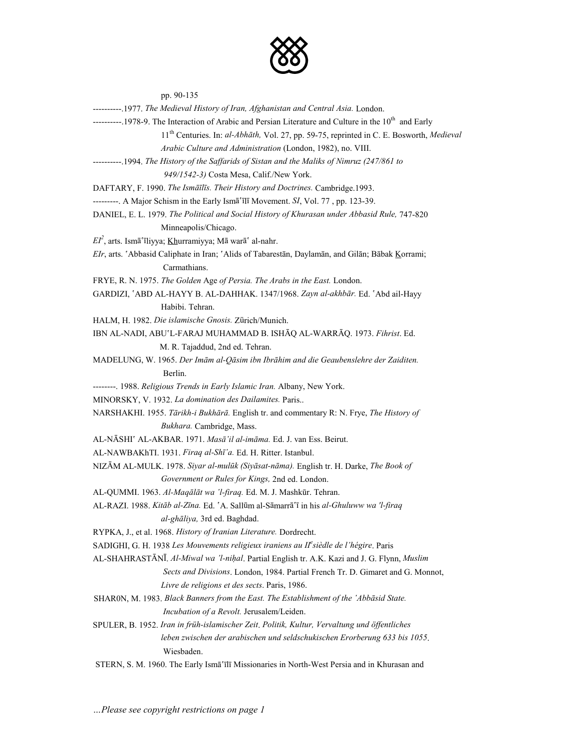

pp. 90-135

| ----------.1977. The Medieval History of Iran, Afghanistan and Central Asia. London.                              |
|-------------------------------------------------------------------------------------------------------------------|
| ----------.1978-9. The Interaction of Arabic and Persian Literature and Culture in the 10 <sup>th</sup> and Early |
| 11 <sup>th</sup> Centuries. In: al-Abhāth, Vol. 27, pp. 59-75, reprinted in C. E. Bosworth, Medieval              |
| Arabic Culture and Administration (London, 1982), no. VIII.                                                       |
| ----------1994. The History of the Saffarids of Sistan and the Maliks of Nimruz (247/861 to                       |
| 949/1542-3) Costa Mesa, Calif./New York.                                                                          |
| DAFTARY, F. 1990. The Ismāīlīs. Their History and Doctrines. Cambridge.1993.                                      |
| ---------. A Major Schism in the Early Ismā'īlī Movement. SI, Vol. 77, pp. 123-39.                                |
| DANIEL, E. L. 1979. The Political and Social History of Khurasan under Abbasid Rule, 747-820                      |
| Minneapolis/Chicago.                                                                                              |
| $EI^2$ , arts. Ismā'īliyya; Khurramiyya; Mā warā' al-nahr.                                                        |
| EIr, arts. 'Abbasid Caliphate in Iran; 'Alids of Tabarestan, Daylaman, and Gilan; Babak Korrami;                  |
| Carmathians.                                                                                                      |
| FRYE, R. N. 1975. The Golden Age of Persia. The Arabs in the East. London.                                        |
| GARDIZI, 'ABD AL-HAYY B. AL-DAHHAK. 1347/1968. Zayn al-akhbār. Ed. 'Abd ail-Hayy                                  |
| Habibi. Tehran.                                                                                                   |
| HALM, H. 1982. Die islamische Gnosis. Zürich/Munich.                                                              |
| IBN AL-NADI, ABU'L-FARAJ MUHAMMAD B. ISHĀQ AL-WARRĀQ. 1973. Fihrist. Ed.                                          |
| M. R. Tajaddud, 2nd ed. Tehran.                                                                                   |
| MADELUNG, W. 1965. Der Imām al-Qāsim ibn Ibrāhim and die Geaubenslehre der Zaiditen.                              |
| Berlin.                                                                                                           |
| --------. 1988. Religious Trends in Early Islamic Iran. Albany, New York.                                         |
| MINORSKY, V. 1932. La domination des Dailamites. Paris                                                            |
| NARSHAKHI. 1955. Tärikh-i Bukhārā. English tr. and commentary R: N. Frye, The History of                          |
| Bukhara. Cambridge, Mass.                                                                                         |
| AL-NĀSHI' AL-AKBAR. 1971. Masā il al-imāma. Ed. J. van Ess. Beirut.                                               |
| AL-NAWBAKhTI. 1931. Firaq al-Shī'a. Ed. H. Ritter. Istanbul.                                                      |
| NIZĀM AL-MULK. 1978. Siyar al-mulūk (Siyāsat-nāma). English tr. H. Darke, The Book of                             |
| Government or Rules for Kings, 2nd ed. London.                                                                    |
| AL-QUMMI. 1963. Al-Maqālāt wa 'l-firaq. Ed. M. J. Mashkūr. Tehran.                                                |
| AL-RAZI. 1988. Kitāb al-Zīna. Ed. 'A. Sallūm al-Sāmarrā'ī in his al-Ghuluww wa 'l-firaq                           |
| al-ghāliya, 3rd ed. Baghdad.                                                                                      |
| RYPKA, J., et al. 1968. History of Iranian Literature. Dordrecht.                                                 |
| SADIGHI, G. H. 1938 Les Mouvements religieux iraniens au IIe sièdle de l'hégire. Paris                            |
| AL-SHAHRASTĀNĪ. Al-Miwal wa 'l-nihal. Partial English tr. A.K. Kazi and J. G. Flynn, Muslim                       |
| Sects and Divisions. London, 1984. Partial French Tr. D. Gimaret and G. Monnot,                                   |
| Livre de religions et des sects. Paris, 1986.                                                                     |
| SHARON, M. 1983. Black Banners from the East. The Establishment of the 'Abbāsid State.                            |
| Incubation of a Revolt. Jerusalem/Leiden.                                                                         |
| SPULER, B. 1952. Iran in früh-islamischer Zeit. Politik, Kultur, Vervaltung und öffentliches                      |
| leben zwischen der arabischen und seldschukischen Erorberung 633 bis 1055.                                        |
| Wiesbaden.                                                                                                        |
| STERN, S. M. 1960. The Early Ismā'īlī Missionaries in North-West Persia and in Khurasan and                       |
|                                                                                                                   |
|                                                                                                                   |